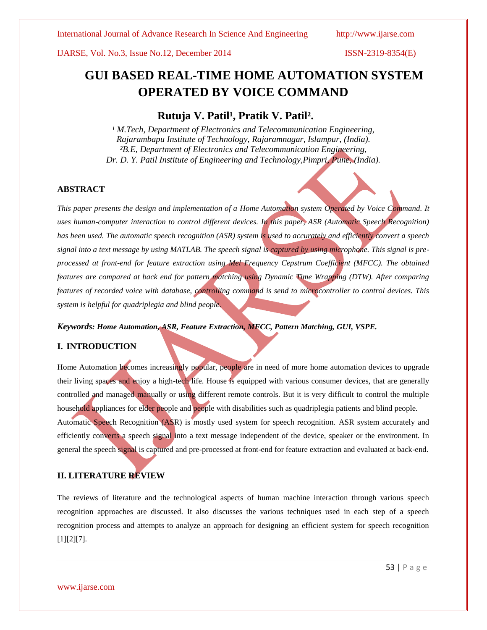## IJARSE, Vol. No.3, Issue No.12, December 2014 ISSN-2319-8354(E)

# **GUI BASED REAL-TIME HOME AUTOMATION SYSTEM OPERATED BY VOICE COMMAND**

## Rutuja V. Patil<sup>1</sup>, Pratik V. Patil<sup>2</sup>.

<sup>1</sup> M. Tech, Department of Electronics and Telecommunication Engineering, *Rajarambapu Institute of Technology, Rajaramnagar, Islampur, (India). ²B.E, Department of Electronics and Telecommunication Engineering, Dr. D. Y. Patil Institute of Engineering and Technology,Pimpri, Pune, (India).*

## **ABSTRACT**

*This paper presents the design and implementation of a Home Automation system Operated by Voice Command. It uses human-computer interaction to control different devices. In this paper, ASR (Automatic Speech Recognition) has been used. The automatic speech recognition (ASR) system is used to accurately and efficiently convert a speech signal into a text message by using MATLAB. The speech signal is captured by using microphone. This signal is preprocessed at front-end for feature extraction using Mel Frequency Cepstrum Coefficient (MFCC). The obtained features are compared at back end for pattern matching using Dynamic Time Wrapping (DTW). After comparing features of recorded voice with database, controlling command is send to microcontroller to control devices. This system is helpful for quadriplegia and blind people.*

## *Keywords: Home Automation, ASR, Feature Extraction, MFCC, Pattern Matching, GUI, VSPE.*

## **I. INTRODUCTION**

Home Automation becomes increasingly popular, people are in need of more home automation devices to upgrade their living spaces and enjoy a high-tech life. House is equipped with various consumer devices, that are generally controlled and managed manually or using different remote controls. But it is very difficult to control the multiple household appliances for elder people and people with disabilities such as quadriplegia patients and blind people. Automatic Speech Recognition (ASR) is mostly used system for speech recognition. ASR system accurately and efficiently converts a speech signal into a text message independent of the device, speaker or the environment. In general the speech signal is captured and pre-processed at front-end for feature extraction and evaluated at back-end.

## **II. LITERATURE REVIEW**

The reviews of literature and the technological aspects of human machine interaction through various speech recognition approaches are discussed. It also discusses the various techniques used in each step of a speech recognition process and attempts to analyze an approach for designing an efficient system for speech recognition [1][2][7].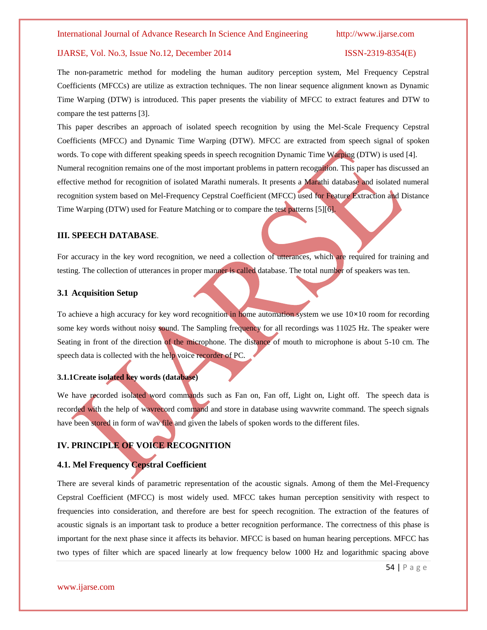## IJARSE, Vol. No.3, Issue No.12, December 2014 ISSN-2319-8354(E)

The non-parametric method for modeling the human auditory perception system, Mel Frequency Cepstral Coefficients (MFCCs) are utilize as extraction techniques. The non linear sequence alignment known as Dynamic Time Warping (DTW) is introduced. This paper presents the viability of MFCC to extract features and DTW to compare the test patterns [3].

This paper describes an approach of isolated speech recognition by using the Mel-Scale Frequency Cepstral Coefficients (MFCC) and Dynamic Time Warping (DTW). MFCC are extracted from speech signal of spoken words. To cope with different speaking speeds in speech recognition Dynamic Time Warping (DTW) is used [4]. Numeral recognition remains one of the most important problems in pattern recognition. This paper has discussed an effective method for recognition of isolated Marathi numerals. It presents a Marathi database and isolated numeral recognition system based on Mel-Frequency Cepstral Coefficient (MFCC) used for Feature Extraction and Distance Time Warping (DTW) used for Feature Matching or to compare the test patterns [5][6].

### **III. SPEECH DATABASE**.

For accuracy in the key word recognition, we need a collection of utterances, which are required for training and testing. The collection of utterances in proper manner is called database. The total number of speakers was ten.

## **3.1 Acquisition Setup**

To achieve a high accuracy for key word recognition in home automation system we use 10**×**10 room for recording some key words without noisy sound. The Sampling frequency for all recordings was 11025 Hz. The speaker were Seating in front of the direction of the microphone. The distance of mouth to microphone is about 5-10 cm. The speech data is collected with the help voice recorder of PC.

### **3.1.1Create isolated key words (database)**

We have recorded isolated word commands such as Fan on, Fan off, Light on, Light off. The speech data is recorded with the help of wavrecord command and store in database using wavwrite command. The speech signals have been stored in form of wav file and given the labels of spoken words to the different files.

## **IV. PRINCIPLE OF VOICE RECOGNITION**

## **4.1. Mel Frequency Cepstral Coefficient**

There are several kinds of parametric representation of the acoustic signals. Among of them the Mel-Frequency Cepstral Coefficient (MFCC) is most widely used. MFCC takes human perception sensitivity with respect to frequencies into consideration, and therefore are best for speech recognition. The extraction of the features of acoustic signals is an important task to produce a better recognition performance. The correctness of this phase is important for the next phase since it affects its behavior. MFCC is based on human hearing perceptions. MFCC has two types of filter which are spaced linearly at low frequency below 1000 Hz and logarithmic spacing above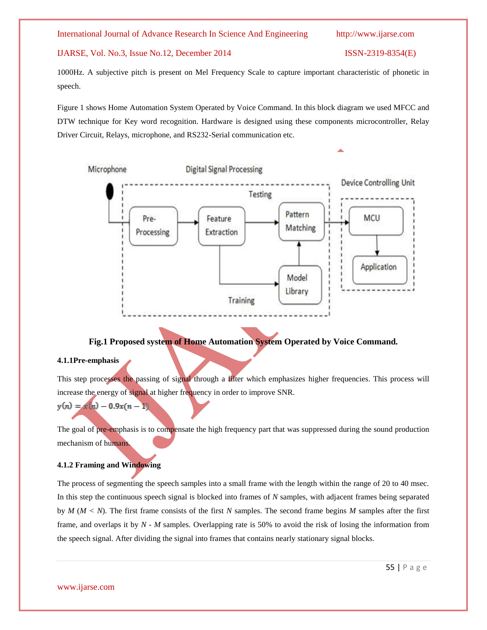## IJARSE, Vol. No.3, Issue No.12, December 2014 ISSN-2319-8354(E)

1000Hz. A subjective pitch is present on Mel Frequency Scale to capture important characteristic of phonetic in speech.

Figure 1 shows Home Automation System Operated by Voice Command. In this block diagram we used MFCC and DTW technique for Key word recognition. Hardware is designed using these components microcontroller, Relay Driver Circuit, Relays, microphone, and RS232-Serial communication etc.



## **Fig.1 Proposed system of Home Automation System Operated by Voice Command.**

### **4.1.1Pre-emphasis**

This step processes the passing of signal through a filter which emphasizes higher frequencies. This process will increase the energy of signal at higher frequency in order to improve SNR.

$$
y(n) = x(n) - 0.9x(n-1)
$$

The goal of pre-emphasis is to compensate the high frequency part that was suppressed during the sound production mechanism of humans.

## **4.1.2 Framing and Windowing**

The process of segmenting the speech samples into a small frame with the length within the range of 20 to 40 msec. In this step the continuous speech signal is blocked into frames of *N* samples, with adjacent frames being separated by *M* (*M < N*). The first frame consists of the first *N* samples. The second frame begins *M* samples after the first frame, and overlaps it by *N - M* samples. Overlapping rate is 50% to avoid the risk of losing the information from the speech signal. After dividing the signal into frames that contains nearly stationary signal blocks.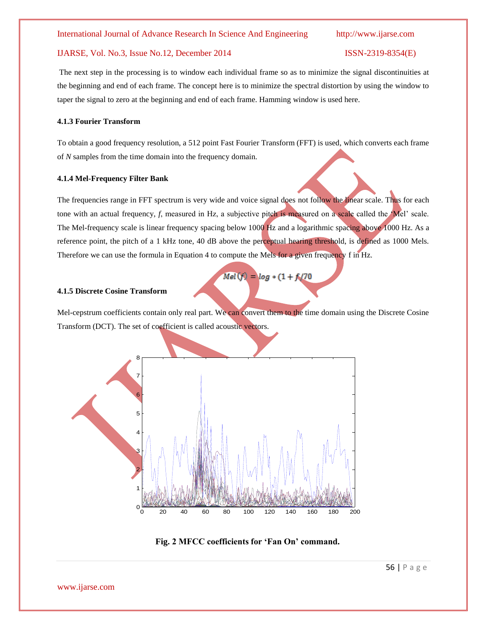## IJARSE, Vol. No.3, Issue No.12, December 2014 ISSN-2319-8354(E)

The next step in the processing is to window each individual frame so as to minimize the signal discontinuities at the beginning and end of each frame. The concept here is to minimize the spectral distortion by using the window to taper the signal to zero at the beginning and end of each frame. Hamming window is used here.

### **4.1.3 Fourier Transform**

To obtain a good frequency resolution, a 512 point Fast Fourier Transform (FFT) is used, which converts each frame of *N* samples from the time domain into the frequency domain.

### **4.1.4 Mel-Frequency Filter Bank**

The frequencies range in FFT spectrum is very wide and voice signal does not follow the linear scale. Thus for each tone with an actual frequency,  $f$ , measured in Hz, a subjective pitch is measured on a scale called the  $M$ el' scale. The Mel-frequency scale is linear frequency spacing below 1000 Hz and a logarithmic spacing above 1000 Hz. As a reference point, the pitch of a 1 kHz tone, 40 dB above the perceptual hearing threshold, is defined as 1000 Mels. Therefore we can use the formula in Equation 4 to compute the Mels for a given frequency f in Hz.

$$
Mel(f) = log * (1 + f/70)
$$

## **4.1.5 Discrete Cosine Transform**

Mel-cepstrum coefficients contain only real part. We can convert them to the time domain using the Discrete Cosine Transform (DCT). The set of coefficient is called acoustic vectors.



**Fig. 2 MFCC coefficients for "Fan On" command.**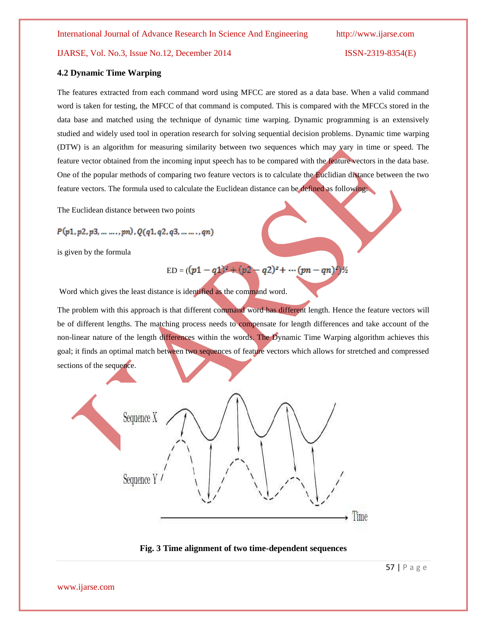## IJARSE, Vol. No.3, Issue No.12, December 2014 ISSN-2319-8354(E)

### **4.2 Dynamic Time Warping**

The features extracted from each command word using MFCC are stored as a data base. When a valid command word is taken for testing, the MFCC of that command is computed. This is compared with the MFCCs stored in the data base and matched using the technique of dynamic time warping. Dynamic programming is an extensively studied and widely used tool in operation research for solving sequential decision problems. Dynamic time warping (DTW) is an algorithm for measuring similarity between two sequences which may vary in time or speed. The feature vector obtained from the incoming input speech has to be compared with the feature vectors in the data base. One of the popular methods of comparing two feature vectors is to calculate the Euclidian distance between the two feature vectors. The formula used to calculate the Euclidean distance can be defined as following:

The Euclidean distance between two points

$$
P(p1, p2, p3, \ldots \ldots, pn), Q(q1, q2, q3, \ldots \ldots, qn)
$$

is given by the formula

$$
ED = ((p1 - q1)^2 + (p2 - q2)^2 + \cdots (pn - qn)^2)/2
$$

Word which gives the least distance is identified as the command word.

The problem with this approach is that different command word has different length. Hence the feature vectors will be of different lengths. The matching process needs to compensate for length differences and take account of the non-linear nature of the length differences within the words. The Dynamic Time Warping algorithm achieves this goal; it finds an optimal match between two sequences of feature vectors which allows for stretched and compressed sections of the sequence.





57 | P a g e

www.ijarse.com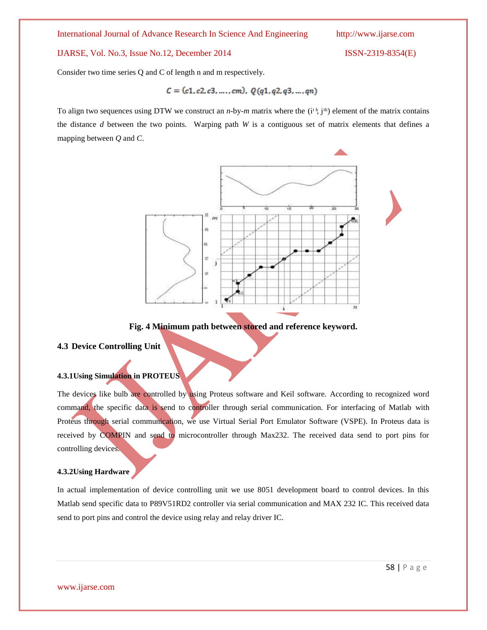## IJARSE, Vol. No.3, Issue No.12, December 2014 ISSN-2319-8354(E)

Consider two time series Q and C of length n and m respectively.

$$
C = (c1, c2, c3, \ldots, cm), \ Q(q1, q2, q3, \ldots, qn)
$$

To align two sequences using DTW we construct an *n*-by-*m* matrix where the  $(i<sup>th</sup>, j<sup>th</sup>)$  element of the matrix contains the distance *d* between the two points. Warping path *W* is a contiguous set of matrix elements that defines a mapping between *Q* and *C*.



## **Fig. 4 Minimum path between stored and reference keyword.**

## **4.3 Device Controlling Unit**

## **4.3.1Using Simulation in PROTEUS**

The devices like bulb are controlled by using Proteus software and Keil software. According to recognized word command, the specific data is send to controller through serial communication. For interfacing of Matlab with Proteus through serial communication, we use Virtual Serial Port Emulator Software (VSPE). In Proteus data is received by COMPIN and send to microcontroller through Max232. The received data send to port pins for controlling devices.

## **4.3.2Using Hardware**

In actual implementation of device controlling unit we use 8051 development board to control devices. In this Matlab send specific data to P89V51RD2 controller via serial communication and MAX 232 IC. This received data send to port pins and control the device using relay and relay driver IC.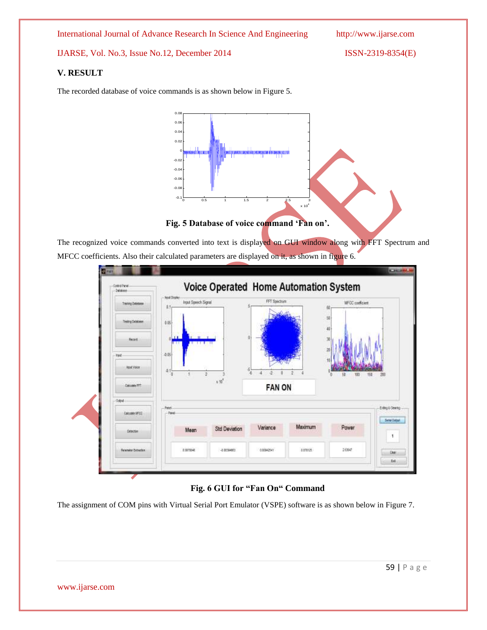IJARSE, Vol. No.3, Issue No.12, December 2014 ISSN-2319-8354(E)

## **V. RESULT**

The recorded database of voice commands is as shown below in Figure 5.



The recognized voice commands converted into text is displayed on GUI window along with FFT Spectrum and MFCC coefficients. Also their calculated parameters are displayed on it, as shown in figure 6.



## **Fig. 6 GUI for "Fan On" Command**

The assignment of COM pins with Virtual Serial Port Emulator (VSPE) software is as shown below in Figure 7.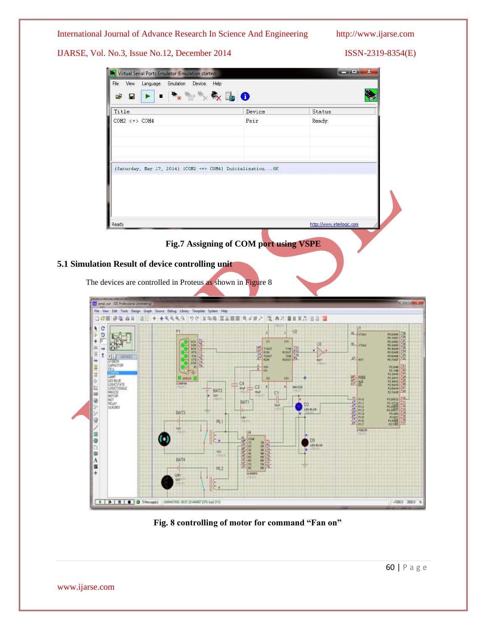

**Fig. 8 controlling of motor for command "Fan on"**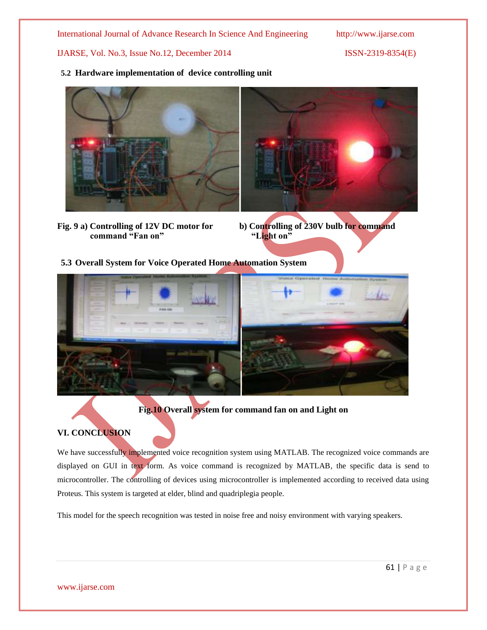IJARSE, Vol. No.3, Issue No.12, December 2014 ISSN-2319-8354(E)

**5.2 Hardware implementation of device controlling unit**



**command "Fan on"** "Light on"



**5.3 Overall System for Voice Operated Home Automation System**



**Fig.10 Overall system for command fan on and Light on**

## **VI. CONCLUSION**

We have successfully implemented voice recognition system using MATLAB. The recognized voice commands are displayed on GUI in text form. As voice command is recognized by MATLAB, the specific data is send to microcontroller. The controlling of devices using microcontroller is implemented according to received data using Proteus. This system is targeted at elder, blind and quadriplegia people.

This model for the speech recognition was tested in noise free and noisy environment with varying speakers.